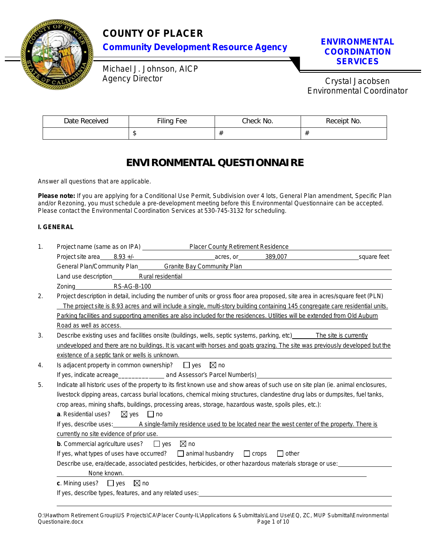

## **COUNTY OF PLACER**

**Community Development Resource Agency ENVIRONMENTAL** 

 Michael J. Johnson, AICP Agency Director

# **COORDINATION SERVICES**

Crystal Jacobsen Environmental Coordinator

| Date Received | <b>Filing Fee</b> | Check No. | Receipt No. |
|---------------|-------------------|-----------|-------------|
|               | $\mathbf{H}$      |           |             |

## **ENVIRONMENTAL QUESTIONNAIRE**

Answer all questions that are applicable.

**Please note:** If you are applying for a Conditional Use Permit, Subdivision over 4 lots, General Plan amendment, Specific Plan and/or Rezoning, you must schedule a pre-development meeting before this Environmental Questionnaire can be accepted. Please contact the Environmental Coordination Services at 530-745-3132 for scheduling.

## **I. GENERAL**

| 1. | Project name (same as on IPA) _________________Placer County Retirement Residence                                                 |
|----|-----------------------------------------------------------------------------------------------------------------------------------|
|    | Project site area 8.93 +/-<br>acres, or 389,007<br>square feet                                                                    |
|    | General Plan/Community Plan Granite Bay Community Plan                                                                            |
|    | Land use description Rural residential                                                                                            |
|    | Zoning RS-AG-B-100                                                                                                                |
| 2. | Project description in detail, including the number of units or gross floor area proposed, site area in acres/square feet (PLN)   |
|    | The project site is 8.93 acres and will include a single, multi-story building containing 145 congregate care residential units.  |
|    | Parking facilities and supporting amenities are also included for the residences. Utilities will be extended from Old Auburn      |
|    | Road as well as access.                                                                                                           |
| 3. | Describe existing uses and facilities onsite (buildings, wells, septic systems, parking, etc) The site is currently               |
|    | undeveloped and there are no buildings. It is vacant with horses and goats grazing. The site was previously developed but the     |
|    | existence of a septic tank or wells is unknown.                                                                                   |
| 4. | Is adjacent property in common ownership? $\Box$ yes $\boxtimes$ no                                                               |
|    |                                                                                                                                   |
| 5. | Indicate all historic uses of the property to its first known use and show areas of such use on site plan (ie. animal enclosures, |
|    | livestock dipping areas, carcass burial locations, chemical mixing structures, clandestine drug labs or dumpsites, fuel tanks,    |
|    | crop areas, mining shafts, buildings, processing areas, storage, hazardous waste, spoils piles, etc.):                            |
|    | <b>a.</b> Residential uses? $\boxtimes$ yes $\Box$ no                                                                             |
|    | If yes, describe uses: A single-family residence used to be located near the west center of the property. There is                |
|    | currently no site evidence of prior use.                                                                                          |
|    | $\boxtimes$ no<br><b>b.</b> Commercial agriculture uses? $\Box$ yes                                                               |
|    | If yes, what types of uses have occurred? $\Box$ animal husbandry $\Box$ crops<br>  other                                         |
|    | Describe use, era/decade, associated pesticides, herbicides, or other hazardous materials storage or use:                         |
|    | None known.                                                                                                                       |
|    | <b>c.</b> Mining uses? $\Box$ yes $\boxtimes$ no                                                                                  |
|    | If yes, describe types, features, and any related uses:                                                                           |
|    |                                                                                                                                   |

O:\Hawthorn Retirement Group\US Projects\CA\Placer County-IL\Applications & Submittals\Land Use\EQ, ZC, MUP Submittal\Environmental Questionaire.docx Questionaire.docx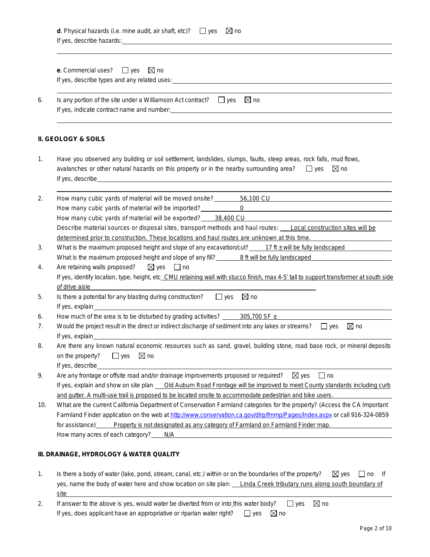| e. Commercial uses?<br>$\Box$ yes<br>$\boxtimes$ no<br>If yes, describe types and any related uses: entity and all the set of the set of the set of the set of the set of the set of the set of the set of the set of the set of the set of the set of the set of the set of the set                                                                                                               |
|----------------------------------------------------------------------------------------------------------------------------------------------------------------------------------------------------------------------------------------------------------------------------------------------------------------------------------------------------------------------------------------------------|
| Is any portion of the site under a Williamson Act contract? $\Box$ yes $\boxtimes$ no<br>If yes, indicate contract name and number: example of the state of the state of the state of the state of the state of the state of the state of the state of the state of the state of the state of the state of the state of                                                                            |
| <b>II. GEOLOGY &amp; SOILS</b>                                                                                                                                                                                                                                                                                                                                                                     |
| Have you observed any building or soil settlement, landslides, slumps, faults, steep areas, rock falls, mud flows,<br>avalanches or other natural hazards on this property or in the nearby surrounding area? $\square$ yes $\square$ no<br>If yes, describe <u>the contract of the contract of the contract of the contract of the contract of the contract of</u>                                |
| How many cubic yards of material will be moved onsite? 66,100 CU<br>$\overline{0}$<br>How many cubic yards of material will be imported?<br>How many cubic yards of material will be exported? 38,400 CU<br>Describe material sources or disposal sites, transport methods and haul routes: Local construction sites will be                                                                       |
| determined prior to construction. These locations and haul routes are unknown at this time.<br>What is the maximum proposed height and slope of any excavation/cut? $17 \text{ ft} \pm \text{will}$ be fully landscaped                                                                                                                                                                            |
| Are retaining walls proposed? $\boxtimes$ yes $\Box$ no<br>If yes, identify location, type, height, etc_CMU retaining wall with stucco finish, max 4-5' tall to support transformer at south side<br>of drive aisle                                                                                                                                                                                |
| $\boxtimes$ no<br>Is there a potential for any blasting during construction? $\Box$ yes<br>If yes, explain example and the state of the state of the state of the state of the state of the state of the state of the state of the state of the state of the state of the state of the state of the state of the state of                                                                          |
| How much of the area is to be disturbed by grading activities? $\frac{305,700 \text{ SF} \pm \text{F}}{2000 \text{ AF} \pm \text{F}}$                                                                                                                                                                                                                                                              |
| Would the project result in the direct or indirect discharge of sediment into any lakes or streams?<br>$\boxtimes$ no<br>$\Box$ yes<br>If yes, explain                                                                                                                                                                                                                                             |
| Are there any known natural economic resources such as sand, gravel, building stone, road base rock, or mineral deposits<br>$\boxtimes$ no<br>on the property?<br>$\Box$ yes<br>If yes, describe                                                                                                                                                                                                   |
| Are any frontage or offsite road and/or drainage improvements proposed or required?<br>$\boxtimes$ yes<br>$\vert$   no<br>If yes, explain and show on site plan Old Auburn Road Frontage will be improved to meet County standards including curb<br>and gutter. A multi-use trail is proposed to be located onsite to accommodate pedestrian and bike users.                                      |
| What are the current California Department of Conservation Farmland categories for the property? (Access the CA Important<br>Farmland Finder application on the web at http://www.conservation.ca.gov/dlrp/fmmp/Pages/Index.aspx or call 916-324-0859<br>Property is not designated as any category of Farmland on Farmland Finder map.<br>for assistance)<br>How many acres of each category? N/A |

- 1. Is there a body of water (lake, pond, stream, canal, etc.) within or on the boundaries of the property?  $\boxtimes$  yes  $\Box$  no If yes, name the body of water here and show location on site plan: Linda Creek tributary runs along south boundary of site
- 2. If answer to the above is yes, would water be diverted from or into this water body?  $\square$  yes  $\boxtimes$  no If yes, does applicant have an appropriative or riparian water right?  $\square$  yes  $\boxtimes$  no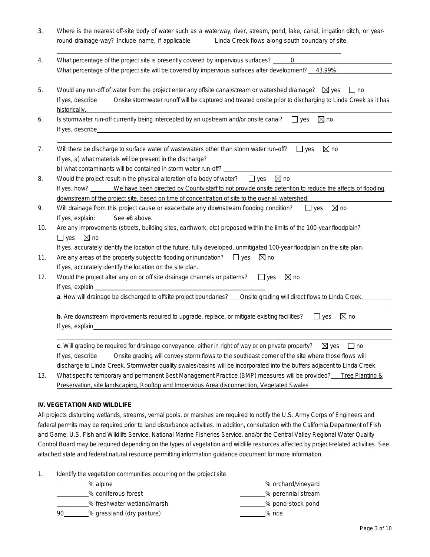| 3.  | Where is the nearest off-site body of water such as a waterway, river, stream, pond, lake, canal, irrigation ditch, or year-                                                                                                                                                                                                                                                                   |
|-----|------------------------------------------------------------------------------------------------------------------------------------------------------------------------------------------------------------------------------------------------------------------------------------------------------------------------------------------------------------------------------------------------|
| 4.  | What percentage of the project site is presently covered by impervious surfaces? ______ 0<br>What percentage of the project site will be covered by impervious surfaces after development? 43.99%                                                                                                                                                                                              |
| 5.  | Would any run-off of water from the project enter any offsite canal/stream or watershed drainage? $\boxtimes$ yes $\Box$ no                                                                                                                                                                                                                                                                    |
|     | Onsite stormwater runoff will be captured and treated onsite prior to discharging to Linda Creek as it has<br>If yes, describe<br>historically.                                                                                                                                                                                                                                                |
| 6.  | Is stormwater run-off currently being intercepted by an upstream and/or onsite canal? $\square$ yes<br>$\boxtimes$ no<br>If yes, describe                                                                                                                                                                                                                                                      |
| 7.  | Will there be discharge to surface water of wastewaters other than storm water run-off? $\square$ yes<br>$\boxtimes$ no<br>If yes, a) what materials will be present in the discharge?<br>b) what contaminants will be contained in storm water run-off?                                                                                                                                       |
| 8.  | Would the project result in the physical alteration of a body of water?<br>$\boxtimes$ no<br>$\Box$ yes<br>If yes, how? We have been directed by County staff to not provide onsite detention to reduce the affects of flooding<br>downstream of the project site, based on time of concentration of site to the over-all watershed.                                                           |
| 9.  | Will drainage from this project cause or exacerbate any downstream flooding condition?<br>$\boxtimes$ no<br>$\Box$ yes<br>If yes, explain: See #8 above.                                                                                                                                                                                                                                       |
| 10. | Are any improvements (streets, building sites, earthwork, etc) proposed within the limits of the 100-year floodplain?<br>$\Box$ yes<br>$\boxtimes$ no<br>If yes, accurately identify the location of the future, fully developed, unmitigated 100-year floodplain on the site plan.                                                                                                            |
| 11. | Are any areas of the property subject to flooding or inundation? $\square$ yes<br>$\boxtimes$ no<br>If yes, accurately identify the location on the site plan.                                                                                                                                                                                                                                 |
| 12. | Would the project alter any on or off site drainage channels or patterns?<br>$\boxtimes$ no<br>$\Box$ yes<br>If yes, explain<br>a. How will drainage be discharged to offsite project boundaries? Onsite grading will direct flows to Linda Creek.                                                                                                                                             |
|     | b. Are downstream improvements required to upgrade, replace, or mitigate existing facilities?<br>$\boxtimes$ no<br>$\Box$ yes                                                                                                                                                                                                                                                                  |
|     | c. Will grading be required for drainage conveyance, either in right of way or on private property?<br>$\boxtimes$ yes<br>$  \cdot  $ no<br>If yes, describe<br>Onsite grading will convey storm flows to the southeast corner of the site where those flows will<br>discharge to Linda Creek. Stormwater quality swales/basins will be incorporated into the buffers adjacent to Linda Creek. |
| 13  | What specific temporary and permanent Rest Management Practice (RMP) measures will be provided? Tree Planting &                                                                                                                                                                                                                                                                                |

13. What specific temporary and permanent Best Management Practice (BMP) measures will be provided? Tree Planting & Preservation, site landscaping, Rooftop and Impervious Area disconnection, Vegetated Swales

#### **IV. VEGETATION AND WILDLIFE**

All projects disturbing wetlands, streams, vernal pools, or marshes are required to notify the U.S. Army Corps of Engineers and federal permits may be required prior to land disturbance activities. In addition, consultation with the California Department of Fish and Game, U.S. Fish and Wildlife Service, National Marine Fisheries Service, and/or the Central Valley Regional Water Quality Control Board may be required depending on the types of vegetation and wildlife resources affected by project-related activities. See attached state and federal natural resource permitting information guidance document for more information.

1. Identify the vegetation communities occurring on the project site

|    | % alpine                   | % orchard/vineyard |
|----|----------------------------|--------------------|
|    | % coniferous forest        | % perennial stream |
|    | % freshwater wetland/marsh | % pond-stock pond  |
| 90 | % grassland (dry pasture)  | % rice             |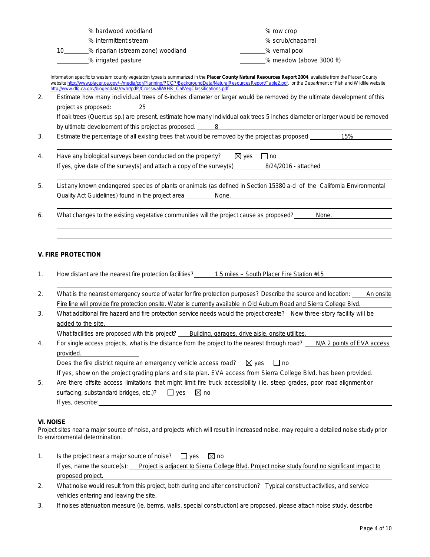|    | % hardwood woodland               | % row crop               |
|----|-----------------------------------|--------------------------|
|    | % intermittent stream             | % scrub/chaparral        |
| 10 | % riparian (stream zone) woodland | % vernal pool            |
|    | % irrigated pasture               | % meadow (above 3000 ft) |

Information specific to western county vegetation types is summarized in the *Placer County Natural Resources Report 2004,* available from the Placer County websit[e http://www.placer.ca.gov/~/media/cdr/Planning/PCCP/BackgroundData/NaturalResourcesReport/Table2.pdf,](http://www.placer.ca.gov/~/media/cdr/Planning/PCCP/BackgroundData/NaturalResourcesReport/Table2.pdf) or the Department of Fish and Wildlife website<br>http://www.dfg.ca.gov/biogeodsta/cwhr/pdfs/CrosswalkWHP\_CalVegClas [http://www.dfg.ca.gov/biogeodata/cwhr/pdfs/CrosswalkWHR\\_CalVegClassifications.pdf](http://www.dfg.ca.gov/biogeodata/cwhr/pdfs/CrosswalkWHR_CalVegClassifications.pdf)

|                      | Estimate how many individual trees of 6-inches diameter or larger would be removed by the ultimate development of this |
|----------------------|------------------------------------------------------------------------------------------------------------------------|
| project as proposed: |                                                                                                                        |

If oak trees (Quercus sp.) are present, estimate how many individual oak trees 5 inches diameter or larger would be removed by ultimate development of this project as proposed. 8

| Estimate the percentage of all existing trees that would be removed by the project as proposed | 15% |
|------------------------------------------------------------------------------------------------|-----|
|                                                                                                |     |

- 4. Have any biological surveys been conducted on the property?  $\boxtimes$  yes  $\Box$  no If yes, give date of the survey(s) and attach a copy of the survey(s)  $8/24/2016$  - attached
- 5. List any known endangered species of plants or animals (as defined in Section 15380 a-d of the California Environmental Quality Act Guidelines) found in the project area None.

6. What changes to the existing vegetative communities will the project cause as proposed? None.

#### **V. FIRE PROTECTION**

- 1. How distant are the nearest fire protection facilities? 1.5 miles South Placer Fire Station #15
- 2. What is the nearest emergency source of water for fire protection purposes? Describe the source and location: An onsite Fire line will provide fire protection onsite. Water is currently available in Old Auburn Road and Sierra College Blvd.
- 3. What additional fire hazard and fire protection service needs would the project create? New three-story facility will be added to the site.

What facilities are proposed with this project? Building, garages, drive aisle, onsite utilities.

4. For single access projects, what is the distance from the project to the nearest through road? N/A 2 points of EVA access provided.

|  | Does the fire district require an emergency vehicle access road? $\boxtimes$ yes $\Box$ no |  |
|--|--------------------------------------------------------------------------------------------|--|
|  |                                                                                            |  |

If yes, show on the project grading plans and site plan. EVA access from Sierra College Blvd. has been provided.

5. Are there offsite access limitations that might limit fire truck accessibility (ie. steep grades, poor road alignment or surfacing, substandard bridges, etc.)?  $\Box$  yes  $\boxtimes$  no If yes, describe:

#### **VI. NOISE**

Project sites near a major source of noise, and projects which will result in increased noise, may require a detailed noise study prior to environmental determination.

| п.     | Is the project near a major source of noise? $\Box$ yes<br>⊠ no                                                            |
|--------|----------------------------------------------------------------------------------------------------------------------------|
|        | If yes, name the source(s): Project is adjacent to Sierra College Blyd. Project noise study found no significant impact to |
|        | proposed project.                                                                                                          |
| $\sim$ |                                                                                                                            |

2. What noise would result from this project, both during and after construction? Typical construct activities, and service vehicles entering and leaving the site.

3. If noises attenuation measure (ie. berms, walls, special construction) are proposed, please attach noise study, describe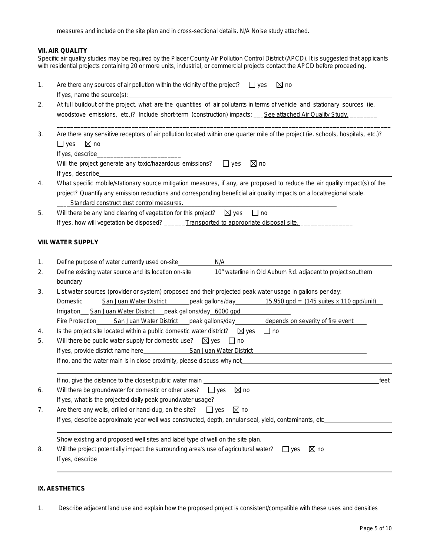#### **VII. AIR QUALITY**

Specific air quality studies may be required by the Placer County Air Pollution Control District (APCD). It is suggested that applicants with residential projects containing 20 or more units, industrial, or commercial projects contact the APCD before proceeding.

| 1. | Are there any sources of air pollution within the vicinity of the project? $\Box$ yes<br>$\boxtimes$ no                                                                                                                                                                                           |
|----|---------------------------------------------------------------------------------------------------------------------------------------------------------------------------------------------------------------------------------------------------------------------------------------------------|
| 2. | If yes, name the source(s): $\qquad \qquad$<br>At full buildout of the project, what are the quantities of air pollutants in terms of vehicle and stationary sources (ie.<br>woodstove emissions, etc.)? Include short-term (construction) impacts: See attached Air Quality Study.               |
| 3. | Are there any sensitive receptors of air pollution located within one quarter mile of the project (ie. schools, hospitals, etc.)?<br>$\Box$ yes<br>$\boxtimes$ no                                                                                                                                 |
|    | If yes, describe<br>Will the project generate any toxic/hazardous emissions?<br>$\Box$ yes<br>$\boxtimes$ no                                                                                                                                                                                      |
|    | If yes, describe                                                                                                                                                                                                                                                                                  |
| 4. | What specific mobile/stationary source mitigation measures, if any, are proposed to reduce the air quality impact(s) of the<br>project? Quantify any emission reductions and corresponding beneficial air quality impacts on a local/regional scale.<br>Standard construct dust control measures. |
| 5. | Will there be any land clearing of vegetation for this project? $\boxtimes$ yes<br>$\Box$ no<br>If yes, how will vegetation be disposed? _______Transported to appropriate disposal site.                                                                                                         |
|    | <b>VIII. WATER SUPPLY</b>                                                                                                                                                                                                                                                                         |
| 1. | Define purpose of water currently used on-site<br>N/A                                                                                                                                                                                                                                             |
| 2. | Define existing water source and its location on-site_________ 10" waterline in Old Auburn Rd. adjacent to project southern<br>boundary                                                                                                                                                           |
| 3. | List water sources (provider or system) proposed and their projected peak water usage in gallons per day:                                                                                                                                                                                         |
|    | Domestic                                                                                                                                                                                                                                                                                          |
|    | Irrigation San Juan Water District peak gallons/day 6000 gpd                                                                                                                                                                                                                                      |
|    | Fire Protection San Juan Water District peak gallons/day depends on severity of fire event                                                                                                                                                                                                        |
| 4. | Is the project site located within a public domestic water district? $\boxtimes$ yes<br>$\Box$ no                                                                                                                                                                                                 |
| 5. | Will there be public water supply for domestic use? $\boxtimes$ yes $\Box$ no                                                                                                                                                                                                                     |
|    | If yes, provide district name here <b>Example 2008</b> San Juan Water District <b>Example 2008</b> San Juan Water District                                                                                                                                                                        |
|    | If no, and the water main is in close proximity, please discuss why not example and the water main is in close proximity, please discuss why not                                                                                                                                                  |
|    | If no, give the distance to the closest public water main<br>feet                                                                                                                                                                                                                                 |
| 6. | $\boxtimes$ no<br>Will there be groundwater for domestic or other uses?<br>$\Box$ yes                                                                                                                                                                                                             |
|    | If yes, what is the projected daily peak groundwater usage?                                                                                                                                                                                                                                       |
| 7. | Are there any wells, drilled or hand-dug, on the site?<br>$\boxtimes$ no<br>$\perp$ yes                                                                                                                                                                                                           |
|    | If yes, describe approximate year well was constructed, depth, annular seal, yield, contaminants, etc_________                                                                                                                                                                                    |
|    | Show existing and proposed well sites and label type of well on the site plan.                                                                                                                                                                                                                    |
| 8. | Will the project potentially impact the surrounding area's use of agricultural water?<br>$\boxtimes$ no<br>$\Box$ yes                                                                                                                                                                             |
|    | If yes, describe_                                                                                                                                                                                                                                                                                 |

## **IX. AESTHETICS**

1. Describe adjacent land use and explain how the proposed project is consistent/compatible with these uses and densities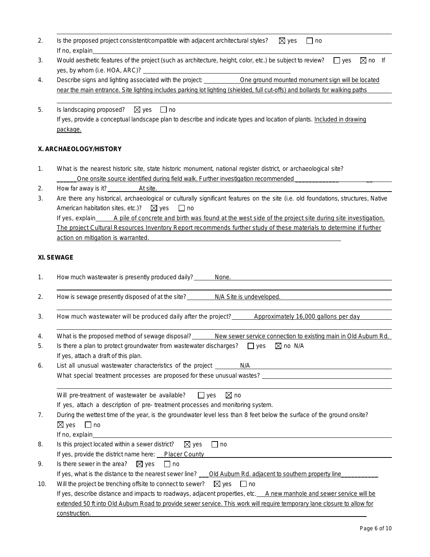| 2.  | Is the proposed project consistent/compatible with adjacent architectural styles?<br>$\boxtimes$ yes<br>$\Box$ no<br>If no, explain                                                                       |
|-----|-----------------------------------------------------------------------------------------------------------------------------------------------------------------------------------------------------------|
| 3.  | Would aesthetic features of the project (such as architecture, height, color, etc.) be subject to review? $\Box$ yes<br>$\boxtimes$ no If                                                                 |
| 4.  | Describe signs and lighting associated with the project: One ground mounted monument sign will be located                                                                                                 |
|     | near the main entrance. Site lighting includes parking lot lighting (shielded, full cut-offs) and bollards for walking paths                                                                              |
| 5.  | Is landscaping proposed? $\boxtimes$ yes $\Box$ no                                                                                                                                                        |
|     | If yes, provide a conceptual landscape plan to describe and indicate types and location of plants. Included in drawing                                                                                    |
|     | package.                                                                                                                                                                                                  |
|     | X. ARCHAEOLOGY/HISTORY                                                                                                                                                                                    |
| 1.  | What is the nearest historic site, state historic monument, national register district, or archaeological site?                                                                                           |
|     | One onsite source identified during field walk. Further investigation recommended                                                                                                                         |
| 2.  | How far away is it? At site.                                                                                                                                                                              |
| 3.  | Are there any historical, archaeological or culturally significant features on the site (i.e. old foundations, structures, Native                                                                         |
|     | American habitation sites, etc.)? $\boxtimes$ yes $\Box$ no                                                                                                                                               |
|     | If yes, explain A pile of concrete and birth was found at the west side of the project site during site investigation.                                                                                    |
|     | The project Cultural Resources Inventory Report recommends further study of these materials to determine if further                                                                                       |
|     | action on mitigation is warranted.                                                                                                                                                                        |
|     | XI. SEWAGE                                                                                                                                                                                                |
|     |                                                                                                                                                                                                           |
| 1.  | How much wastewater is presently produced daily?<br>None.                                                                                                                                                 |
| 2.  | How is sewage presently disposed of at the site? N/A Site is undeveloped.                                                                                                                                 |
| 3.  | How much wastewater will be produced daily after the project? Approximately 16,000 gallons per day                                                                                                        |
| 4.  | What is the proposed method of sewage disposal?<br>New sewer service connection to existing main in Old Auburn Rd.                                                                                        |
| 5.  | Is there a plan to protect groundwater from wastewater discharges?<br>$\Box$ yes<br>$\boxtimes$ no N/A                                                                                                    |
|     | If yes, attach a draft of this plan.                                                                                                                                                                      |
| 6.  | List all unusual wastewater characteristics of the project<br>N/A                                                                                                                                         |
|     | What special treatment processes are proposed for these unusual wastes?                                                                                                                                   |
|     | $\boxtimes$ no<br>Will pre-treatment of wastewater be available?<br>$\Box$ yes                                                                                                                            |
|     | If yes, attach a description of pre-treatment processes and monitoring system.                                                                                                                            |
| 7.  | During the wettest time of the year, is the groundwater level less than 8 feet below the surface of the ground onsite?                                                                                    |
|     | $\boxtimes$ yes<br>$\Box$ no                                                                                                                                                                              |
|     | If no, explain                                                                                                                                                                                            |
| 8.  | $\Box$ no<br>Is this project located within a sewer district?<br>$\boxtimes$ yes                                                                                                                          |
|     | If yes, provide the district name here: Placer County                                                                                                                                                     |
| 9.  | Is there sewer in the area?<br>$\boxtimes$ yes<br>$\Box$ no                                                                                                                                               |
| 10. | If yes, what is the distance to the nearest sewer line? _ Old Auburn Rd. adjacent to southern property line<br>Will the project be trenching offsite to connect to sewer?<br>$\boxtimes$ yes<br>$\Box$ no |

| If yes, describe distance and impacts to roadways, adjacent properties, etc. A new manhole and sewer service will be     |  |
|--------------------------------------------------------------------------------------------------------------------------|--|
| extended 50 ft into Old Auburn Road to provide sewer service. This work will require temporary lane closure to allow for |  |
| construction.                                                                                                            |  |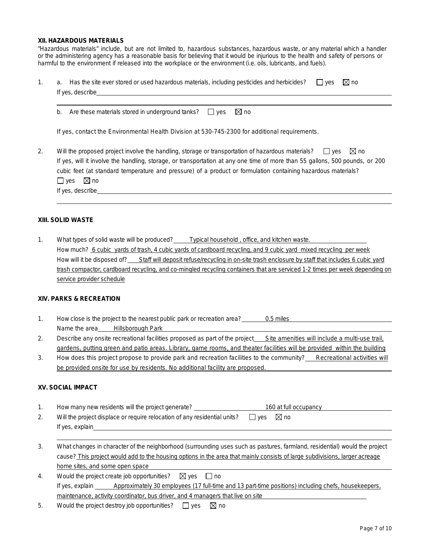#### **XII. HAZARDOUS MATERIALS**

"Hazardous materials" include, but are not limited to, hazardous substances, hazardous waste, or any material which a handler or the administering agency has a reasonable basis for believing that it would be injurious to the health and safety of persons or harmful to the environment if released into the workplace or the environment (i.e. oils, lubricants, and fuels).

|  | a. Has the site ever stored or used hazardous materials, including pesticides and herbicides? $\square$ yes $\boxtimes$ no |  |  |
|--|----------------------------------------------------------------------------------------------------------------------------|--|--|
|  | If yes, describe                                                                                                           |  |  |

b. Are these materials stored in underground tanks?  $\square$  yes  $\boxtimes$  no

If yes, contact the Environmental Health Division at 530-745-2300 for additional requirements.

2. Will the proposed project involve the handling, storage or transportation of hazardous materials?  $\square$  yes  $\square$  no If yes, will it involve the handling, storage, or transportation at any one time of more than 55 gallons, 500 pounds, or 200 cubic feet (at standard temperature and pressure) of a product or formulation containing hazardous materials?  $\Box$  yes  $\boxtimes$  no

If yes, describe

#### **XIII. SOLID WASTE**

1. What types of solid waste will be produced? Typical household , office, and kitchen waste. How much? 6 cubic yards of trash, 4 cubic yards of cardboard recycling, and 9 cubic yard mixed recycling per week How will it be disposed of? Staff will deposit refuse/recycling in on-site trash enclosure by staff that includes 6 cubic yard trash compactor, cardboard recycling, and co-mingled recycling containers that are serviced 1-2 times per week depending on service provider schedule

#### **XIV. PARKS & RECREATION**

- 1. How close is the project to the nearest public park or recreation area? 0.5 miles Name the area Hillsborough Park
- 2. Describe any onsite recreational facilities proposed as part of the project Site amenities will include a multi-use trail, gardens, putting green and patio areas. Library, game rooms, and theater facilities will be provided within the building
- 3. How does this project propose to provide park and recreation facilities to the community? Recreational activities will be provided onsite for use by residents. No additional facility are proposed.

### **XV. SOCIAL IMPACT**

- 1. How many new residents will the project generate? 160 at full occupancy 2. Will the project displace or require relocation of any residential units?  $\Box$  yes  $\boxtimes$  no If yes, explain
- 3. What changes in character of the neighborhood (surrounding uses such as pastures, farmland, residential) would the project cause? This project would add to the housing options in the area that mainly consists of large subdivisions, larger acreage home sites, and some open space
- 4. Would the project create job opportunities?  $\boxtimes$  yes  $\Box$  no If yes, explain Approximately 30 employees (17 full-time and 13 part-time positions) including chefs, housekeepers, maintenance, activity coordinator, bus driver, and 4 managers that live on site
- 5. Would the project destroy job opportunities?  $\Box$  yes  $\boxtimes$  no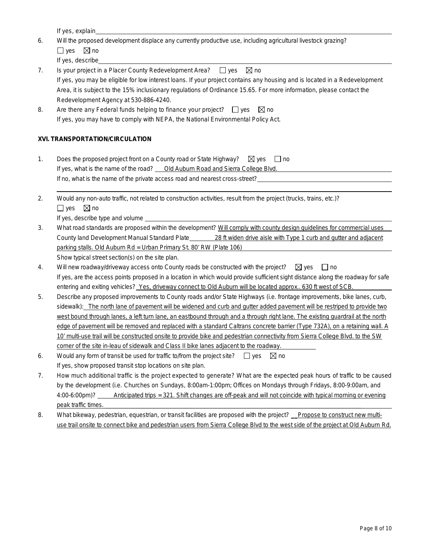If yes, explain

|                           | Will the proposed development displace any currently productive use, including agricultural livestock grazing? |
|---------------------------|----------------------------------------------------------------------------------------------------------------|
| $\Box$ ves $\boxtimes$ no |                                                                                                                |

|  | If yes, describe |
|--|------------------|
|  |                  |

| Is your project in a Placer County Redevelopment Area?<br>$\boxtimes$ no<br>l ves                                          |
|----------------------------------------------------------------------------------------------------------------------------|
| If yes, you may be eligible for low interest loans. If your project contains any housing and is located in a Redevelopment |
| Area, it is subject to the 15% inclusionary regulations of Ordinance 15.65. For more information, please contact the       |
| Redevelopment Agency at 530-886-4240.                                                                                      |

| Are there any Federal funds helping to finance your project? $\Box$ yes $\boxtimes$ no |  |
|----------------------------------------------------------------------------------------|--|
| If yes, you may have to comply with NEPA, the National Environmental Policy Act.       |  |

## **XVI. TRANSPORTATION/CIRCULATION**

|                                                                              | Does the proposed project front on a County road or State Highway? $\boxtimes$ yes<br>l Ino |
|------------------------------------------------------------------------------|---------------------------------------------------------------------------------------------|
| If yes, what is the name of the road?                                        | Old Auburn Road and Sierra College Blvd.                                                    |
| If no, what is the name of the private access road and nearest cross-street? |                                                                                             |

2. Would any non-auto traffic, not related to construction activities, result from the project (trucks, trains, etc.)?  $\Box$  ves  $\boxtimes$  no

If yes, describe type and volume

- 3. What road standards are proposed within the development? Will comply with county design guidelines for commercial uses County land Development Manual Standard Plate 28 ft widen drive aisle with Type 1 curb and gutter and adjacent parking stalls. Old Auburn Rd = Urban Primary St. 80' RW (Plate 106) Show typical street section(s) on the site plan.
- 4. Will new roadway/driveway access onto County roads be constructed with the project?  $\boxtimes$  yes  $\Box$  no If yes, are the access points proposed in a location in which would provide sufficient sight distance along the roadway for safe entering and exiting vehicles? Yes, driveway connect to Old Auburn will be located approx.. 630 ft west of SCB.
- 5. Describe any proposed improvements to County roads and/or State Highways (i.e. frontage improvements, bike lanes, curb, sidewalk): The north lane of pavement will be widened and curb and gutter added pavement will be restriped to provide two west bound through lanes, a left turn lane, an eastbound through and a through right lane. The existing guardrail at the north edge of pavement will be removed and replaced with a standard Caltrans concrete barrier (Type 732A), on a retaining wall. A 10' multi-use trail will be constructed onsite to provide bike and pedestrian connectivity from Sierra College Blvd. to the SW corner of the site in-leau of sidewalk and Class II bike lanes adjacent to the roadway.
- 6. Would any form of transit be used for traffic to/from the project site?  $\Box$  yes  $\boxtimes$  no If yes, show proposed transit stop locations on site plan.
- 7. How much additional traffic is the project expected to generate? What are the expected peak hours of traffic to be caused by the development (i.e. Churches on Sundays, 8:00am-1:00pm; Offices on Mondays through Fridays, 8:00-9:00am, and 4:00-6:00pm)? Anticipated trips = 321. Shift changes are off-peak and will not coincide with typical morning or evening peak traffic times.
- 8. What bikeway, pedestrian, equestrian, or transit facilities are proposed with the project? Propose to construct new multiuse trail onsite to connect bike and pedestrian users from Sierra College Blvd to the west side of the project at Old Auburn Rd.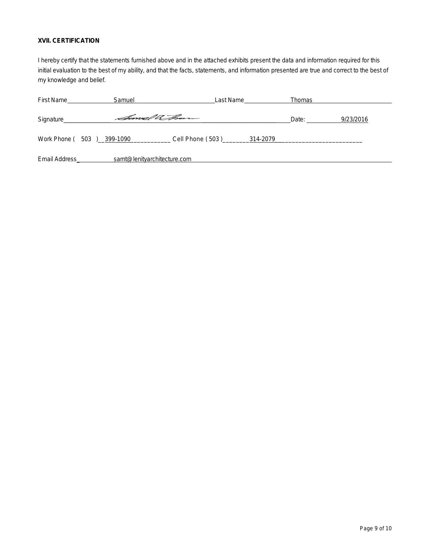## **XVII. CERTIFICATION**

I hereby certify that the statements furnished above and in the attached exhibits present the data and information required for this initial evaluation to the best of my ability, and that the facts, statements, and information presented are true and correct to the best of my knowledge and belief.

| <b>First Name</b>            | Samuel |                             | Last Name |          | Thomas |           |
|------------------------------|--------|-----------------------------|-----------|----------|--------|-----------|
| Signature                    |        | Same a hour                 |           |          | Date:  | 9/23/2016 |
| Work Phone (503) __ 399-1090 |        | Cell Phone ( 503 )______    |           | 314-2079 |        |           |
| Email Address_               |        | samt@lenityarchitecture.com |           |          |        |           |